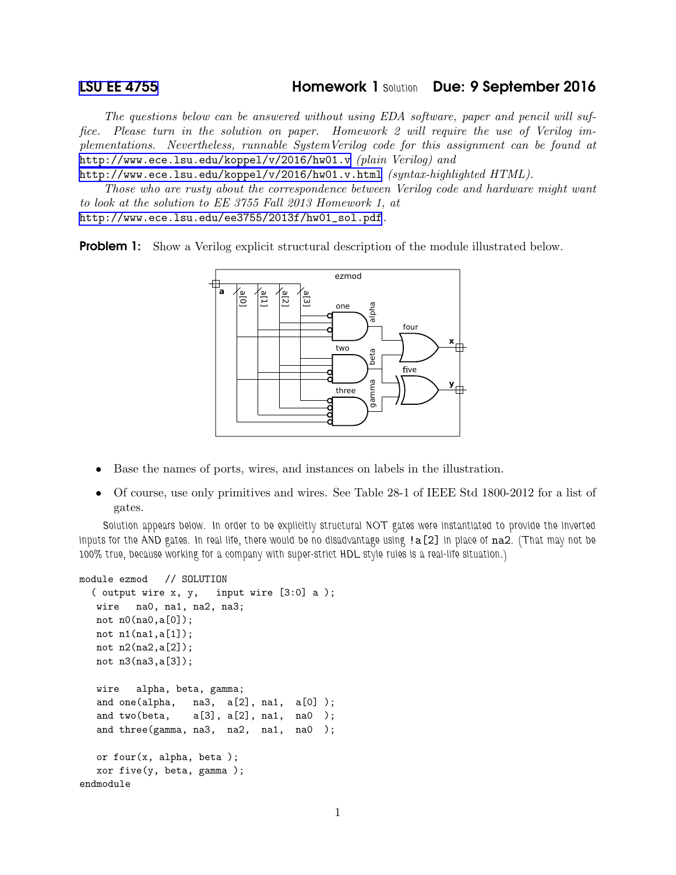The questions below can be answered without using EDA software, paper and pencil will suffice. Please turn in the solution on paper. Homework 2 will require the use of Verilog implementations. Nevertheless, runnable SystemVerilog code for this assignment can be found at <http://www.ece.lsu.edu/koppel/v/2016/hw01.v> (plain Verilog) and

<http://www.ece.lsu.edu/koppel/v/2016/hw01.v.html> (syntax-highlighted HTML).

Those who are rusty about the correspondence between Verilog code and hardware might want to look at the solution to EE 3755 Fall 2013 Homework 1, at [http://www.ece.lsu.edu/ee3755/2013f/hw01\\_sol.pdf](http://www.ece.lsu.edu/ee3755/2013f/hw01_sol.pdf).

**Problem 1:** Show a Verilog explicit structural description of the module illustrated below.



- Base the names of ports, wires, and instances on labels in the illustration.
- Of course, use only primitives and wires. See Table 28-1 of IEEE Std 1800-2012 for a list of gates.

Solution appears below. In order to be explicitly structural NOT gates were instantiated to provide the inverted inputs for the AND gates. In real life, there would be no disadvantage using !a[2] in place of na2. (That may not be 100% true, because working for a company with super-strict HDL style rules is a real-life situation.)

```
module ezmod // SOLUTION
  ( output wire x, y, input wire [3:0] a );
  wire na0, na1, na2, na3;
  not n0(na0,a[0]);
  not n1(na1,a[1]);
  not n2(na2,a[2]);
  not n3(na3,a[3]);
  wire alpha, beta, gamma;
  and one(alpha, na3, a[2], na1, a[0]);
  and two(beta, a[3], a[2], na1, na0);
  and three(gamma, na3, na2, na1, na0 );
  or four(x, alpha, beta);
  xor five(y, beta, gamma );
endmodule
```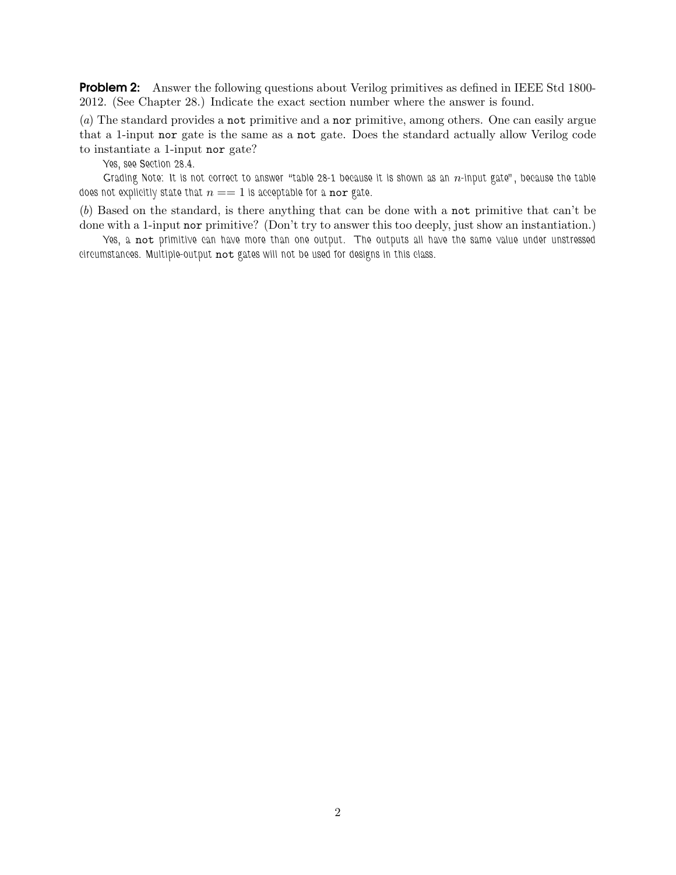**Problem 2:** Answer the following questions about Verilog primitives as defined in IEEE Std 1800-2012. (See Chapter 28.) Indicate the exact section number where the answer is found.

(a) The standard provides a not primitive and a nor primitive, among others. One can easily argue that a 1-input nor gate is the same as a not gate. Does the standard actually allow Verilog code to instantiate a 1-input nor gate?

Yes, see Section 28.4.

Grading Note: It is not correct to answer "table 28-1 because it is shown as an  $n$ -input gate", because the table does not explicitly state that  $n == 1$  is acceptable for a nor gate.

(b) Based on the standard, is there anything that can be done with a not primitive that can't be done with a 1-input nor primitive? (Don't try to answer this too deeply, just show an instantiation.)

Yes, a not primitive can have more than one output. The outputs all have the same value under unstressed circumstances. Multiple-output not gates will not be used for designs in this class.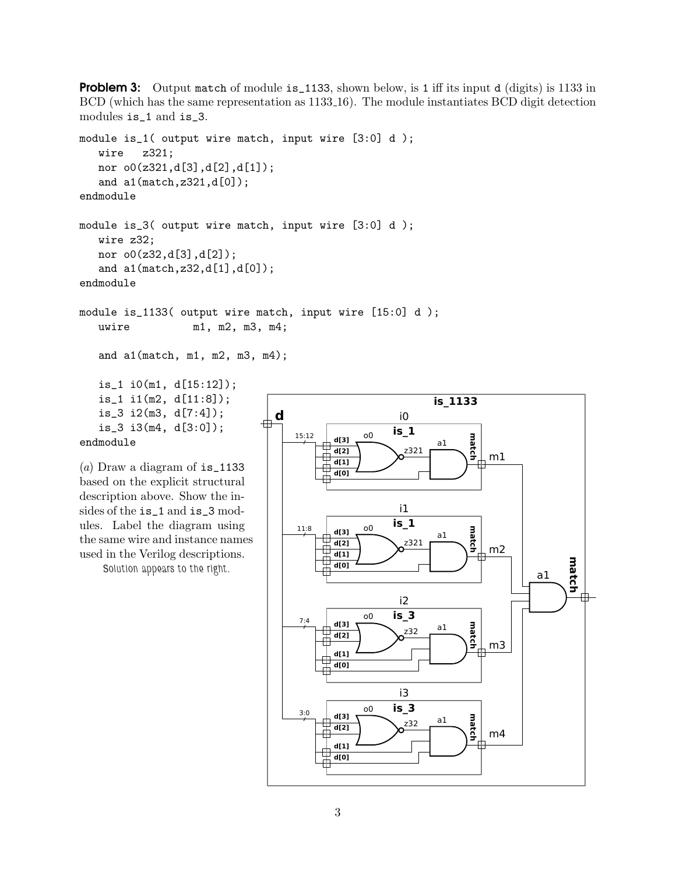**Problem 3:** Output match of module is 1133, shown below, is 1 iff its input d (digits) is 1133 in BCD (which has the same representation as 1133 16). The module instantiates BCD digit detection modules is\_1 and is\_3.

```
module is_1( output wire match, input wire [3:0] d );
  wire z321;
  nor o0(z321,d[3],d[2],d[1]);
   and a1(match,z321,d[0]);
endmodule
module is_3( output wire match, input wire [3:0] d );
  wire z32;
  nor o0(z32,d[3],d[2]);
  and a1(match,z32,d[1],d[0]);
endmodule
module is_1133( output wire match, input wire [15:0] d );
  uwire m1, m2, m3, m4;
  and a1(match, m1, m2, m3, m4);
  is_1 i0(m1, d[15:12]);
   is_1 i1(m2, d[11:8]);
   is_3 i2(m3, d[7:4]);
   is_3 i3(m4, d[3:0]);
endmodule
                               d
                                             o0
                                                  is_1
                                                   i0
                                  15:12
```
(a) Draw a diagram of  $is_1133$ based on the explicit structural description above. Show the insides of the is\_1 and is\_3 modules. Label the diagram using the same wire and instance names used in the Verilog descriptions.

Solution appears to the right.

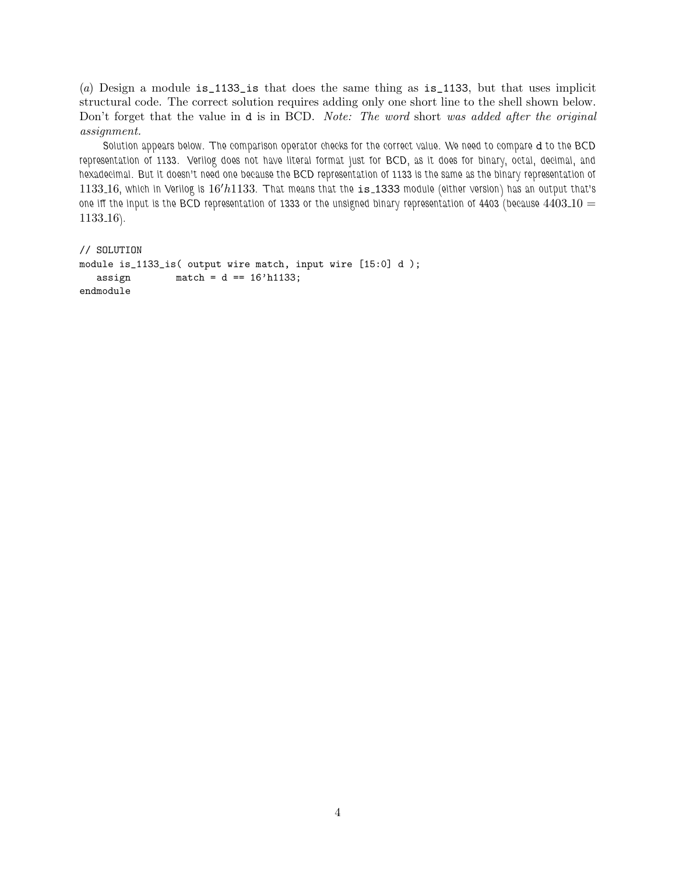(a) Design a module is\_1133\_is that does the same thing as is\_1133, but that uses implicit structural code. The correct solution requires adding only one short line to the shell shown below. Don't forget that the value in **d** is in BCD. Note: The word short was added after the original assignment.

Solution appears below. The comparison operator checks for the correct value. We need to compare d to the BCD representation of 1133. Verilog does not have literal format just for BCD, as it does for binary, octal, decimal, and hexadecimal. But it doesn't need one because the BCD representation of 1133 is the same as the binary representation of 1133 16, which in Verilog is 16′h1133. That means that the is 1333 module (either version) has an output that's one iff the input is the BCD representation of 1333 or the unsigned binary representation of 4403 (because  $4403.10 =$ 1133 16).

```
// SOLUTION
module is_1133_is( output wire match, input wire [15:0] d );
  assign match = d == 16'h1133;endmodule
```